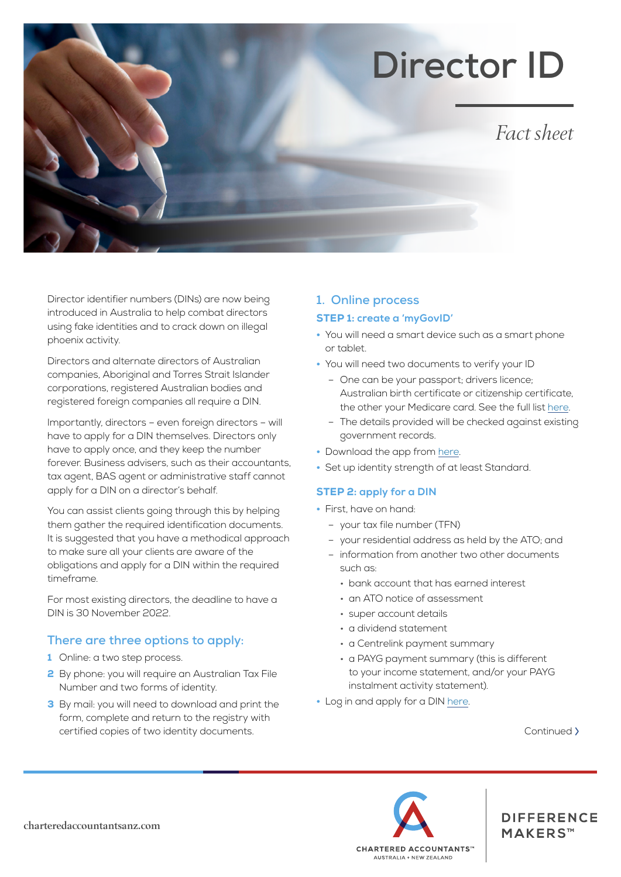# **Director ID**

*Fact sheet*

Director identifier numbers (DINs) are now being introduced in Australia to help combat directors using fake identities and to crack down on illegal phoenix activity.

Directors and alternate directors of Australian companies, Aboriginal and Torres Strait Islander corporations, registered Australian bodies and registered foreign companies all require a DIN.

Importantly, directors – even foreign directors – will have to apply for a DIN themselves. Directors only have to apply once, and they keep the number forever. Business advisers, such as their accountants, tax agent, BAS agent or administrative staff cannot apply for a DIN on a director's behalf.

You can assist clients going through this by helping them gather the required identification documents. It is suggested that you have a methodical approach to make sure all your clients are aware of the obligations and apply for a DIN within the required timeframe.

For most existing directors, the deadline to have a DIN is 30 November 2022.

## **There are three options to apply:**

- 1 Online: a two step process.
- 2 By phone: you will require an Australian Tax File Number and two forms of identity.
- **3** By mail: you will need to download and print the form, complete and return to the registry with certified copies of two identity documents.

## **1. Online process**

#### STEP 1: **create a 'myGovID'**

- You will need a smart device such as a smart phone or tablet.
- You will need two documents to verify your ID
	- One can be your passport; drivers licence; Australian birth certificate or citizenship certificate, the other your Medicare card. See the full list [here](https://www.mygovid.gov.au/verifying-your-identity).
	- The details provided will be checked against existing government records.
- Download the app from [here](https://www.mygovid.gov.au/set-up).
- Set up identity strength of at least Standard.

## STEP 2: **apply for a DIN**

- First, have on hand:
	- your tax file number (TFN)
	- your residential address as held by the ATO; and
	- information from another two other documents such as:
		- bank account that has earned interest
		- an ATO notice of assessment
		- super account details
		- a dividend statement
		- a Centrelink payment summary
		- a PAYG payment summary (this is different to your income statement, and/or your PAYG instalment activity statement).
- Log in and apply for a DIN [here.](https://mygovid.gov.au/AuthSpa.UI/index.html#login)

Continued >